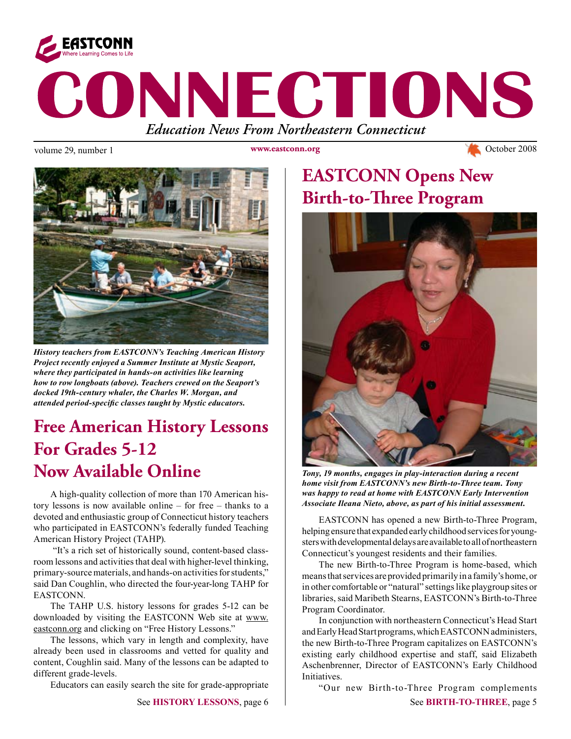

volume 29, number 1 www.eastconn.org Www.eastconn.org Cotober 2008

**www.eastconn.org**



*History teachers from EASTCONN's Teaching American History Project recently enjoyed a Summer Institute at Mystic Seaport, where they participated in hands-on activities like learning how to row longboats (above). Teachers crewed on the Seaport's docked 19th-century whaler, the Charles W. Morgan, and attended period-specifc classes taught by Mystic educators.* 

# **Free American History Lessons For Grades 5-12 Now Available Online**

A high-quality collection of more than 170 American history lessons is now available online – for free – thanks to a devoted and enthusiastic group of Connecticut history teachers who participated in EASTCONN's federally funded Teaching American History Project (TAHP).

 "It's a rich set of historically sound, content-based classroom lessons and activities that deal with higher-level thinking, primary-source materials, and hands-on activities for students," said Dan Coughlin, who directed the four-year-long TAHP for EASTCONN.

The TAHP U.S. history lessons for grades 5-12 can be downloaded by visiting the EASTCONN Web site at www. eastconn.org and clicking on "Free History Lessons."

The lessons, which vary in length and complexity, have already been used in classrooms and vetted for quality and content, Coughlin said. Many of the lessons can be adapted to different grade-levels.

Educators can easily search the site for grade-appropriate

# **EASTCONN Opens New Birth-to-Three Program**



*Tony, 19 months, engages in play-interaction during a recent home visit from EASTCONN's new Birth-to-Three team. Tony was happy to read at home with EASTCONN Early Intervention Associate Ileana Nieto, above, as part of his initial assessment.* 

EASTCONN has opened a new Birth-to-Three Program, helping ensure that expanded early childhood services for youngsters with developmental delays are available to all of northeastern Connecticut's youngest residents and their families.

The new Birth-to-Three Program is home-based, which means that services are provided primarily in a family's home, or in other comfortable or "natural" settings like playgroup sites or libraries, said Maribeth Stearns, EASTCONN's Birth-to-Three Program Coordinator.

In conjunction with northeastern Connecticut's Head Start and Early Head Start programs, which EASTCONN administers, the new Birth-to-Three Program capitalizes on EASTCONN's existing early childhood expertise and staff, said Elizabeth Aschenbrenner, Director of EASTCONN's Early Childhood Initiatives.

"Our new Birth-to-Three Program complements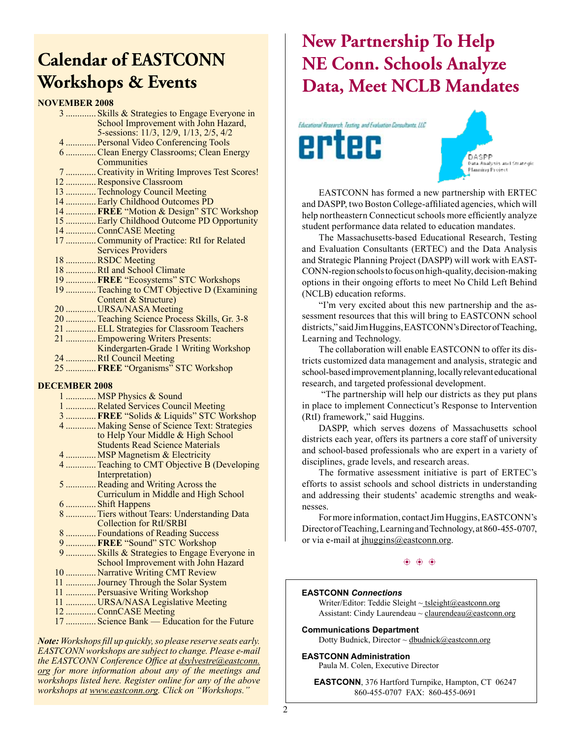# **Calendar of EASTCONN Workshops & Events**

## **NOVEMBER 2008**

| U V LIVIDEIX 4000 |                                                |
|-------------------|------------------------------------------------|
|                   | 3  Skills & Strategies to Engage Everyone in   |
|                   | School Improvement with John Hazard,           |
|                   | 5-sessions: 11/3, 12/9, 1/13, 2/5, 4/2         |
|                   | 4  Personal Video Conferencing Tools           |
|                   | 6 Clean Energy Classrooms; Clean Energy        |
|                   | Communities                                    |
|                   | 7  Creativity in Writing Improves Test Scores! |
|                   | 12  Responsive Classroom                       |
|                   | 13  Technology Council Meeting                 |
|                   | 14  Early Childhood Outcomes PD                |
|                   | 14  FREE "Motion & Design" STC Workshop        |
|                   | 15  Early Childhood Outcome PD Opportunity     |
|                   | 14  ConnCASE Meeting                           |
|                   | 17  Community of Practice: RtI for Related     |
|                   | <b>Services Providers</b>                      |
|                   | 18 RSDC Meeting                                |
|                   | 18 RtI and School Climate                      |
|                   | 19  FREE "Ecosystems" STC Workshops            |
|                   | 19  Teaching to CMT Objective D (Examining     |
|                   | Content & Structure)                           |
|                   | 20  URSA/NASA Meeting                          |
|                   | 20  Teaching Science Process Skills, Gr. 3-8   |
|                   | 21  ELL Strategies for Classroom Teachers      |
|                   | 21  Empowering Writers Presents:               |
|                   | Kindergarten-Grade 1 Writing Workshop          |
|                   | 24 RtI Council Meeting                         |

25 .............**FREE** "Organisms" STC Workshop

## **DECEMBER 2008**

| ------------                                 |
|----------------------------------------------|
| 1  MSP Physics & Sound                       |
| 1 Related Services Council Meeting           |
| 3  FREE "Solids & Liquids" STC Workshop      |
| 4  Making Sense of Science Text: Strategies  |
| to Help Your Middle & High School            |
| <b>Students Read Science Materials</b>       |
| 4  MSP Magnetism & Electricity               |
| 4  Teaching to CMT Objective B (Developing   |
| Interpretation)                              |
| 5  Reading and Writing Across the            |
| Curriculum in Middle and High School         |
| 6  Shift Happens                             |
| 8 Tiers without Tears: Understanding Data    |
| <b>Collection for RtI/SRBI</b>               |
| 8  Foundations of Reading Success            |
| 9  FREE "Sound" STC Workshop                 |
| 9  Skills & Strategies to Engage Everyone in |
| School Improvement with John Hazard          |
| 10  Narrative Writing CMT Review             |
| 11  Journey Through the Solar System         |
| 11  Persuasive Writing Workshop              |
| 11  URSA/NASA Legislative Meeting            |
| 12  ConnCASE Meeting                         |
| 17  Science Bank — Education for the Future  |
|                                              |
|                                              |

*Note: Workshops fll up quickly, so please reserve seats early. EASTCONN workshops are subject to change. Please e-mail the EASTCONN Conference Offce at dsylvestre@eastconn. org for more information about any of the meetings and workshops listed here. Register online for any of the above workshops at www.eastconn.org. Click on "Workshops."*

# **New Partnership To Help NE Conn. Schools Analyze Data, Meet NCLB Mandates**





EASTCONN has formed a new partnership with ERTEC and DASPP, two Boston College-affliated agencies, which will help northeastern Connecticut schools more efficiently analyze student performance data related to education mandates.

The Massachusetts-based Educational Research, Testing and Evaluation Consultants (ERTEC) and the Data Analysis and Strategic Planning Project (DASPP) will work with EAST-CONN-region schools to focus on high-quality, decision-making options in their ongoing efforts to meet No Child Left Behind (NCLB) education reforms.

"I'm very excited about this new partnership and the assessment resources that this will bring to EASTCONN school districts," said Jim Huggins, EASTCONN's Director of Teaching, Learning and Technology.

The collaboration will enable EASTCONN to offer its districts customized data management and analysis, strategic and school-based improvement planning, locally relevant educational research, and targeted professional development.

 "The partnership will help our districts as they put plans in place to implement Connecticut's Response to Intervention (RtI) framework," said Huggins.

DASPP, which serves dozens of Massachusetts school districts each year, offers its partners a core staff of university and school-based professionals who are expert in a variety of disciplines, grade levels, and research areas.

The formative assessment initiative is part of ERTEC's efforts to assist schools and school districts in understanding and addressing their students' academic strengths and weaknesses.

For more information, contact Jim Huggins, EASTCONN's Director of Teaching, Learning and Technology, at 860-455-0707, or via e-mail at jhuggins@eastconn.org.

## $\circledast$   $\circledast$   $\circledast$

## **EASTCONN** *Connections*

Writer/Editor: Teddie Sleight  $\sim$  tsleight@eastconn.org Assistant: Cindy Laurendeau  $\sim$  claurendeau $@$ eastconn.org

**Communications Department**

Dotty Budnick, Director ~ dbudnick@eastconn.org

## **EASTCONN Administration**

Paula M. Colen, Executive Director

**EASTCONN**, 376 Hartford Turnpike, Hampton, CT 06247 860-455-0707 FAX: 860-455-0691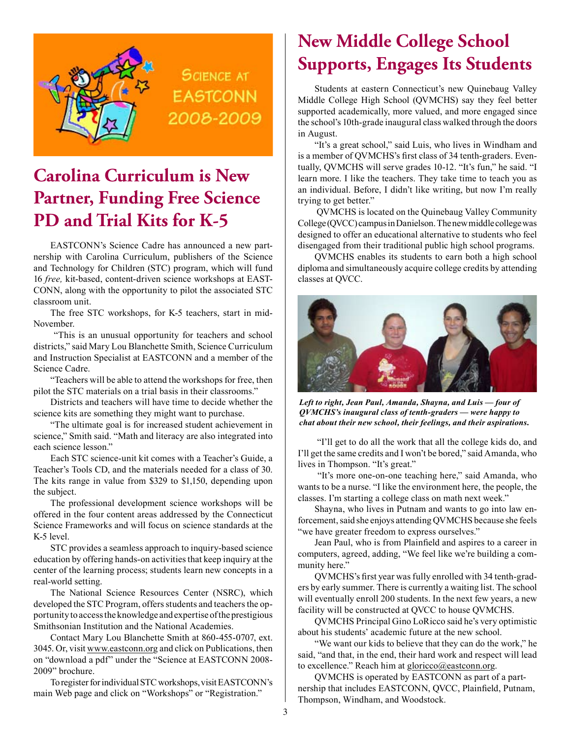

**SCIENCE AT EASTCONN** 2008-2009

# **Carolina Curriculum is New Partner, Funding Free Science PD and Trial Kits for K-5**

EASTCONN's Science Cadre has announced a new partnership with Carolina Curriculum, publishers of the Science and Technology for Children (STC) program, which will fund 16 *free,* kit-based, content-driven science workshops at EAST-CONN, along with the opportunity to pilot the associated STC classroom unit.

The free STC workshops, for K-5 teachers, start in mid-November.

 "This is an unusual opportunity for teachers and school districts," said Mary Lou Blanchette Smith, Science Curriculum and Instruction Specialist at EASTCONN and a member of the Science Cadre.

"Teachers will be able to attend the workshops for free, then pilot the STC materials on a trial basis in their classrooms."

Districts and teachers will have time to decide whether the science kits are something they might want to purchase.

"The ultimate goal is for increased student achievement in science," Smith said. "Math and literacy are also integrated into each science lesson."

Each STC science-unit kit comes with a Teacher's Guide, a Teacher's Tools CD, and the materials needed for a class of 30. The kits range in value from \$329 to \$1,150, depending upon the subject.

The professional development science workshops will be offered in the four content areas addressed by the Connecticut Science Frameworks and will focus on science standards at the K-5 level.

STC provides a seamless approach to inquiry-based science education by offering hands-on activities that keep inquiry at the center of the learning process; students learn new concepts in a real-world setting.

The National Science Resources Center (NSRC), which developed the STC Program, offers students and teachers the opportunity to access the knowledge and expertise of the prestigious Smithsonian Institution and the National Academies.

Contact Mary Lou Blanchette Smith at 860-455-0707, ext. 3045. Or, visit www.eastconn.org and click on Publications, then on "download a pdf" under the "Science at EASTCONN 2008- 2009" brochure.

To register for individual STC workshops, visit EASTCONN's main Web page and click on "Workshops" or "Registration."

# **New Middle College School Supports, Engages Its Students**

Students at eastern Connecticut's new Quinebaug Valley Middle College High School (QVMCHS) say they feel better supported academically, more valued, and more engaged since the school's 10th-grade inaugural class walked through the doors in August.

"It's a great school," said Luis, who lives in Windham and is a member of QVMCHS's frst class of 34 tenth-graders. Eventually, QVMCHS will serve grades 10-12. "It's fun," he said. "I learn more. I like the teachers. They take time to teach you as an individual. Before, I didn't like writing, but now I'm really trying to get better."

 QVMCHS is located on the Quinebaug Valley Community College (QVCC) campus in Danielson. The new middle college was designed to offer an educational alternative to students who feel disengaged from their traditional public high school programs.

QVMCHS enables its students to earn both a high school diploma and simultaneously acquire college credits by attending classes at QVCC.



*Left to right, Jean Paul, Amanda, Shayna, and Luis — four of QVMCHS's inaugural class of tenth-graders — were happy to chat about their new school, their feelings, and their aspirations.* 

 "I'll get to do all the work that all the college kids do, and I'll get the same credits and I won't be bored," said Amanda, who lives in Thompson. "It's great."

 "It's more one-on-one teaching here," said Amanda, who wants to be a nurse. "I like the environment here, the people, the classes. I'm starting a college class on math next week."

Shayna, who lives in Putnam and wants to go into law enforcement, said she enjoys attending QVMCHS because she feels "we have greater freedom to express ourselves."

Jean Paul, who is from Plainfeld and aspires to a career in computers, agreed, adding, "We feel like we're building a community here."

QVMCHS's frst year was fully enrolled with 34 tenth-graders by early summer. There is currently a waiting list. The school will eventually enroll 200 students. In the next few years, a new facility will be constructed at QVCC to house QVMCHS.

QVMCHS Principal Gino LoRicco said he's very optimistic about his students' academic future at the new school.

"We want our kids to believe that they can do the work," he said, "and that, in the end, their hard work and respect will lead to excellence." Reach him at gloricco@eastconn.org.

QVMCHS is operated by EASTCONN as part of a partnership that includes EASTCONN, QVCC, Plainfeld, Putnam, Thompson, Windham, and Woodstock.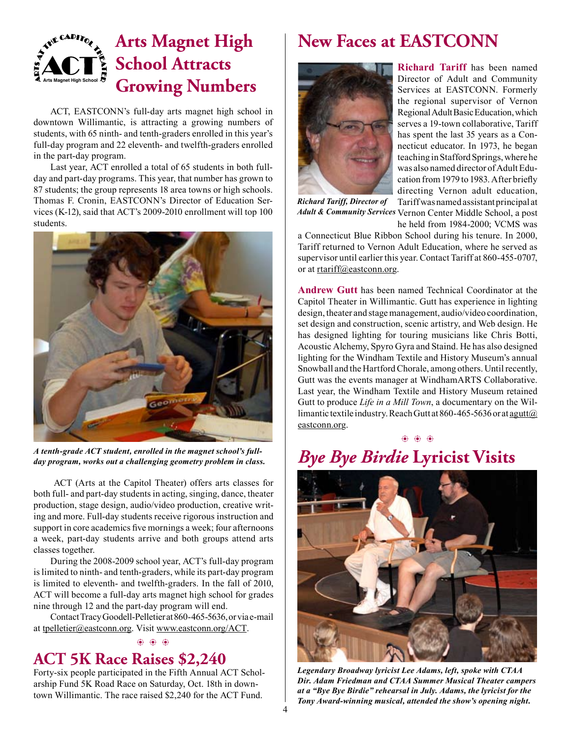## **Arts Magnet High School Arts Magnet High School Attracts Growing Numbers**

ACT, EASTCONN's full-day arts magnet high school in downtown Willimantic, is attracting a growing numbers of students, with 65 ninth- and tenth-graders enrolled in this year's full-day program and 22 eleventh- and twelfth-graders enrolled in the part-day program.

Last year, ACT enrolled a total of 65 students in both fullday and part-day programs. This year, that number has grown to 87 students; the group represents 18 area towns or high schools. Thomas F. Cronin, EASTCONN's Director of Education Services (K-12), said that ACT's 2009-2010 enrollment will top 100 students.



*A tenth-grade ACT student, enrolled in the magnet school's fullday program, works out a challenging geometry problem in class.* 

 ACT (Arts at the Capitol Theater) offers arts classes for both full- and part-day students in acting, singing, dance, theater production, stage design, audio/video production, creative writing and more. Full-day students receive rigorous instruction and support in core academics fve mornings a week; four afternoons a week, part-day students arrive and both groups attend arts classes together.

During the 2008-2009 school year, ACT's full-day program is limited to ninth- and tenth-graders, while its part-day program is limited to eleventh- and twelfth-graders. In the fall of 2010, ACT will become a full-day arts magnet high school for grades nine through 12 and the part-day program will end.

Contact Tracy Goodell-Pelletier at 860-465-5636, or via e-mail at tpelletier@eastconn.org. Visit www.eastconn.org/ACT.

 $\circledast$   $\circledast$   $\circledast$ 

## **ACT 5K Race Raises \$2,240**

Forty-six people participated in the Fifth Annual ACT Scholarship Fund 5K Road Race on Saturday, Oct. 18th in downtown Willimantic. The race raised \$2,240 for the ACT Fund.

# **New Faces at EASTCONN**



**Richard Tariff** has been named Director of Adult and Community Services at EASTCONN. Formerly the regional supervisor of Vernon Regional Adult Basic Education, which serves a 19-town collaborative, Tariff has spent the last 35 years as a Connecticut educator. In 1973, he began teaching in Stafford Springs, where he was also named director of Adult Education from 1979 to 1983. After briefy directing Vernon adult education, Tariff was named assistant principal at

Adult & Community Services Vernon Center Middle School, a post *Richard Tariff, Director of* 

he held from 1984-2000; VCMS was

a Connecticut Blue Ribbon School during his tenure. In 2000, Tariff returned to Vernon Adult Education, where he served as supervisor until earlier this year. Contact Tariff at 860-455-0707, or at rtariff@eastconn.org.

**Andrew Gutt** has been named Technical Coordinator at the Capitol Theater in Willimantic. Gutt has experience in lighting design, theater and stage management, audio/video coordination, set design and construction, scenic artistry, and Web design. He has designed lighting for touring musicians like Chris Botti, Acoustic Alchemy, Spyro Gyra and Staind. He has also designed lighting for the Windham Textile and History Museum's annual Snowball and the Hartford Chorale, among others. Until recently, Gutt was the events manager at WindhamARTS Collaborative. Last year, the Windham Textile and History Museum retained Gutt to produce *Life in a Mill Town*, a documentary on the Willimantic textile industry. Reach Gutt at 860-465-5636 or at agutt@ eastconn.org.



# *Bye Bye Birdie* **Lyricist Visits**



*Legendary Broadway lyricist Lee Adams, left, spoke with CTAA Dir. Adam Friedman and CTAA Summer Musical Theater campers at a "Bye Bye Birdie" rehearsal in July. Adams, the lyricist for the Tony Award-winning musical, attended the show's opening night.*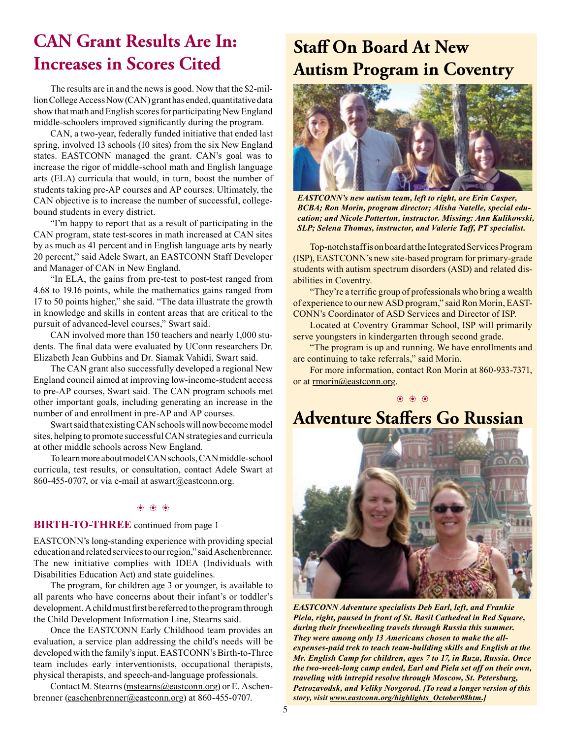## **CAN Grant Results Are In: Increases in Scores Cited**

The results are in and the news is good. Now that the \$2-million College Access Now (CAN) grant has ended, quantitative data show that math and English scores for participating New England middle-schoolers improved signifcantly during the program.

CAN, a two-year, federally funded initiative that ended last spring, involved 13 schools (10 sites) from the six New England states. EASTCONN managed the grant. CAN's goal was to increase the rigor of middle-school math and English language arts (ELA) curricula that would, in turn, boost the number of students taking pre-AP courses and AP courses. Ultimately, the CAN objective is to increase the number of successful, collegebound students in every district.

"I'm happy to report that as a result of participating in the CAN program, state test-scores in math increased at CAN sites by as much as 41 percent and in English language arts by nearly 20 percent," said Adele Swart, an EASTCONN Staff Developer and Manager of CAN in New England.

"In ELA, the gains from pre-test to post-test ranged from 4.68 to 19.16 points, while the mathematics gains ranged from 17 to 50 points higher," she said. "The data illustrate the growth in knowledge and skills in content areas that are critical to the pursuit of advanced-level courses," Swart said.

CAN involved more than 150 teachers and nearly 1,000 students. The fnal data were evaluated by UConn researchers Dr. Elizabeth Jean Gubbins and Dr. Siamak Vahidi, Swart said.

The CAN grant also successfully developed a regional New England council aimed at improving low-income-student access to pre-AP courses, Swart said. The CAN program schools met other important goals, including generating an increase in the number of and enrollment in pre-AP and AP courses.

Swart said that existing CAN schools will now become model sites, helping to promote successful CAN strategies and curricula at other middle schools across New England.

To learn more about model CAN schools, CAN middle-school curricula, test results, or consultation, contact Adele Swart at 860-455-0707, or via e-mail at  $\frac{1}{\text{aswart}(a)\text{eastconn.org}}$ .

## b b b

## **BIRTH-TO-THREE** continued from page 1

EASTCONN's long-standing experience with providing special education and related services to our region," said Aschenbrenner. The new initiative complies with IDEA (Individuals with Disabilities Education Act) and state guidelines.

The program, for children age 3 or younger, is available to all parents who have concerns about their infant's or toddler's development. A child must frst be referred to the program through the Child Development Information Line, Stearns said.

Once the EASTCONN Early Childhood team provides an evaluation, a service plan addressing the child's needs will be developed with the family's input. EASTCONN's Birth-to-Three team includes early interventionists, occupational therapists, physical therapists, and speech-and-language professionals.

Contact M. Stearns (mstearns@eastconn.org) or E. Aschenbrenner (easchenbrenner@eastconn.org) at 860-455-0707.

# **Staff On Board At New Autism Program in Coventry**



*EASTCONN's new autism team, left to right, are Erin Casper, BCBA; Ron Morin, program director; Alisha Natelle, special education; and Nicole Potterton, instructor. Missing: Ann Kulikowski, SLP; Selena Thomas, instructor, and Valerie Taff, PT specialist.* 

Top-notch staff is on board at the Integrated Services Program (ISP), EASTCONN's new site-based program for primary-grade students with autism spectrum disorders (ASD) and related disabilities in Coventry.

"They're a terrific group of professionals who bring a wealth of experience to our new ASD program," said Ron Morin, EAST-CONN's Coordinator of ASD Services and Director of ISP.

Located at Coventry Grammar School, ISP will primarily serve youngsters in kindergarten through second grade.

"The program is up and running. We have enrollments and are continuing to take referrals," said Morin.

For more information, contact Ron Morin at 860-933-7371, or at rmorin@eastconn.org.

b b b

# **Adventure Staffers Go Russian**



*EASTCONN Adventure specialists Deb Earl, left, and Frankie Piela, right, paused in front of St. Basil Cathedral in Red Square, during their freewheeling travels through Russia this summer. They were among only 13 Americans chosen to make the allexpenses-paid trek to teach team-building skills and English at the Mr. English Camp for children, ages 7 to 17, in Ruza, Russia. Once the two-week-long camp ended, Earl and Piela set off on their own, traveling with intrepid resolve through Moscow, St. Petersburg, Petrozavodsk, and Veliky Novgorod. [To read a longer version of this story, visit www.eastconn.org/highlights\_October08htm.]*